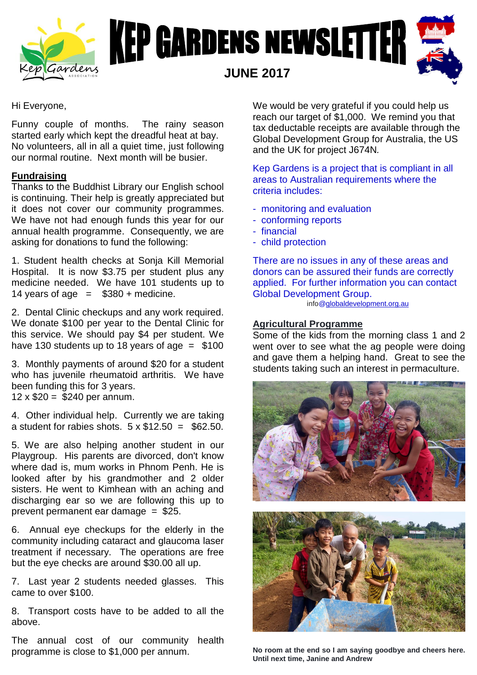



## Hi Everyone,

Funny couple of months. The rainy season started early which kept the dreadful heat at bay. No volunteers, all in all a quiet time, just following our normal routine. Next month will be busier.

## **Fundraising**

Thanks to the Buddhist Library our English school is continuing. Their help is greatly appreciated but it does not cover our community programmes. We have not had enough funds this year for our annual health programme. Consequently, we are asking for donations to fund the following:

1. Student health checks at Sonja Kill Memorial Hospital. It is now \$3.75 per student plus any medicine needed. We have 101 students up to 14 years of age  $=$  \$380 + medicine.

2. Dental Clinic checkups and any work required. We donate \$100 per year to the Dental Clinic for this service. We should pay \$4 per student. We have 130 students up to 18 years of age  $=$  \$100

3. Monthly payments of around \$20 for a student who has juvenile rheumatoid arthritis. We have been funding this for 3 years. 12  $\times$  \$20 = \$240 per annum.

4. Other individual help. Currently we are taking a student for rabies shots.  $5 \times \$12.50 = \$62.50$ .

5. We are also helping another student in our Playgroup. His parents are divorced, don't know where dad is, mum works in Phnom Penh. He is looked after by his grandmother and 2 older sisters. He went to Kimhean with an aching and discharging ear so we are following this up to prevent permanent ear damage = \$25.

6. Annual eye checkups for the elderly in the community including cataract and glaucoma laser treatment if necessary. The operations are free but the eye checks are around \$30.00 all up.

7. Last year 2 students needed glasses. This came to over \$100.

8. Transport costs have to be added to all the above.

The annual cost of our community health programme is close to \$1,000 per annum.

We would be very grateful if you could help us reach our target of \$1,000. We remind you that tax deductable receipts are available through the Global Development Group for Australia, the US and the UK for project J674N*.*

Kep Gardens is a project that is compliant in all areas to Australian requirements where the criteria includes:

- monitoring and evaluation
- conforming reports
- financial
- child protection

There are no issues in any of these areas and donors can be assured their funds are correctly applied. For further information you can contact Global Development Group.

info[@globaldevelopment.org.au](http://globaldevelopment.org.au/)

#### **Agricultural Programme**

Some of the kids from the morning class 1 and 2 went over to see what the ag people were doing and gave them a helping hand. Great to see the students taking such an interest in permaculture.



**No room at the end so I am saying goodbye and cheers here. Until next time, Janine and Andrew**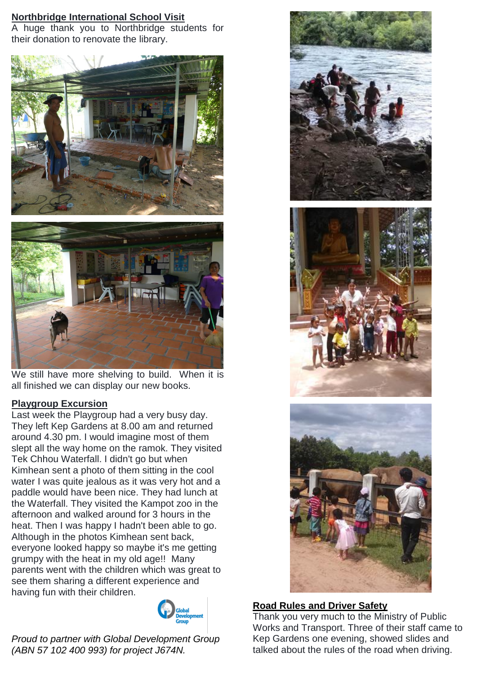# **Northbridge International School Visit**

A huge thank you to Northbridge students for their donation to renovate the library.





We still have more shelving to build. When it is all finished we can display our new books.

# **Playgroup Excursion**

Last week the Playgroup had a very busy day. They left Kep Gardens at 8.00 am and returned around 4.30 pm. I would imagine most of them slept all the way home on the ramok. They visited Tek Chhou Waterfall. I didn't go but when Kimhean sent a photo of them sitting in the cool water I was quite jealous as it was very hot and a paddle would have been nice. They had lunch at the Waterfall. They visited the Kampot zoo in the afternoon and walked around for 3 hours in the heat. Then I was happy I hadn't been able to go. Although in the photos Kimhean sent back, everyone looked happy so maybe it's me getting grumpy with the heat in my old age!! Many parents went with the children which was great to see them sharing a different experience and having fun with their children.



 *Proud to partner with Global Development Group (ABN 57 102 400 993) for project J674N.*



### **Road Rules and Driver Safety**

Thank you very much to the Ministry of Public Works and Transport. Three of their staff came to Kep Gardens one evening, showed slides and talked about the rules of the road when driving.